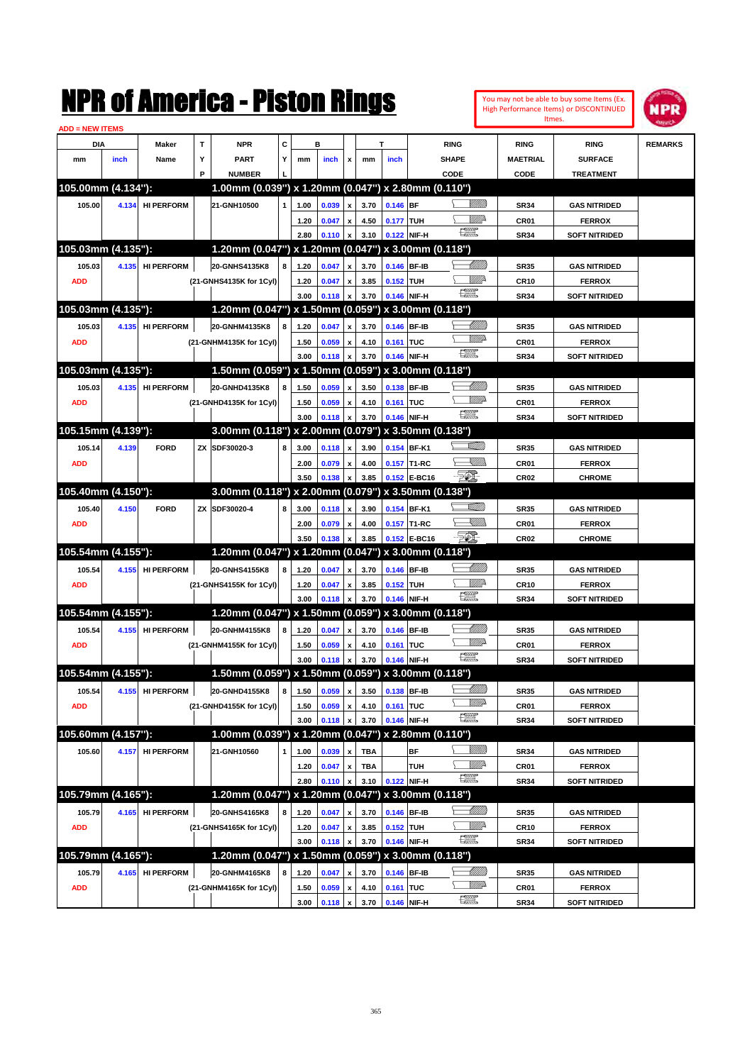## NPR of America - Piston Rings

| NMK OI AINCrica - Miston Kings<br>You may not be able to buy some Items (Ex.<br><b>High Performance Items) or DISCONTINUED</b><br>Itmes. |       |                   |   |                                                     |              |      |                   |                    |            |                          |                                     |                               | NPR           |                  |                      |                |
|------------------------------------------------------------------------------------------------------------------------------------------|-------|-------------------|---|-----------------------------------------------------|--------------|------|-------------------|--------------------|------------|--------------------------|-------------------------------------|-------------------------------|---------------|------------------|----------------------|----------------|
| <b>ADD = NEW ITEMS</b><br>DIA                                                                                                            |       | <b>Maker</b>      | T | <b>NPR</b>                                          | C            |      | в                 |                    |            | T                        |                                     | <b>RING</b>                   |               | <b>RING</b>      | <b>RING</b>          | <b>REMARKS</b> |
| mm                                                                                                                                       | inch  | Name              | Υ | <b>PART</b>                                         | Y            | mm   | inch              | x                  | mm         | inch                     |                                     | SHAPE                         |               | <b>MAETRIAL</b>  | <b>SURFACE</b>       |                |
|                                                                                                                                          |       |                   | P | <b>NUMBER</b>                                       |              |      |                   |                    |            |                          |                                     | CODE                          |               | <b>CODE</b>      | <b>TREATMENT</b>     |                |
| 105.00mm (4.134"):                                                                                                                       |       |                   |   | 1.00mm (0.039") x 1.20mm (0.047") x 2.80mm (0.110") |              |      |                   |                    |            |                          |                                     |                               |               |                  |                      |                |
| 105.00                                                                                                                                   | 4.134 | <b>HI PERFORM</b> |   | 21-GNH10500                                         | 1            | 1.00 | 0.039             | $\pmb{\mathsf{x}}$ | 3.70       | $0.146$ BF               |                                     |                               |               | <b>SR34</b>      | <b>GAS NITRIDED</b>  |                |
|                                                                                                                                          |       |                   |   |                                                     |              | 1.20 | 0.047             | x                  | 4.50       | 0.177                    | <b>TUH</b>                          |                               | ₩₩            | CR <sub>01</sub> | <b>FERROX</b>        |                |
|                                                                                                                                          |       |                   |   |                                                     |              | 2.80 | 0.110             | X                  | 3.10       | 0.122 NIF-H              |                                     | $\frac{1}{2}$                 |               | <b>SR34</b>      | <b>SOFT NITRIDED</b> |                |
| 105.03mm (4.135"):                                                                                                                       |       |                   |   | 1.20mm (0.047")                                     |              |      |                   |                    |            |                          | x 1.20mm (0.047") x 3.00mm (0.118") |                               |               |                  |                      |                |
| 105.03                                                                                                                                   | 4.135 | <b>HI PERFORM</b> |   | 20-GNHS4135K8                                       | 8            | 1.20 | 0.047             | X                  | 3.70       | 0.146 BF-IB              |                                     |                               | <u>UMM</u>    | <b>SR35</b>      | <b>GAS NITRIDED</b>  |                |
| <b>ADD</b>                                                                                                                               |       |                   |   | (21-GNHS4135K for 1Cyl)                             |              | 1.20 | 0.047             | X                  | 3.85       | 0.152                    | <b>TUH</b>                          |                               | ₩₩            | <b>CR10</b>      | <b>FERROX</b>        |                |
|                                                                                                                                          |       |                   |   |                                                     |              | 3.00 | 0.118             | X                  | 3.70       | 0.146 NIF-H              |                                     | $\frac{1}{2}$                 |               | <b>SR34</b>      | <b>SOFT NITRIDED</b> |                |
| 105.03mm (4.135"):                                                                                                                       |       |                   |   | 1.20mm (0.047")                                     |              |      |                   |                    |            |                          | x 1.50mm (0.059") x 3.00mm (0.118") |                               |               |                  |                      |                |
| 105.03                                                                                                                                   | 4.135 | <b>HI PERFORM</b> |   | 20-GNHM4135K8                                       | 8            | 1.20 | 0.047             | x                  | 3.70       | 0.146 BF-IB              |                                     |                               | Millitt       | <b>SR35</b>      | <b>GAS NITRIDED</b>  |                |
| <b>ADD</b>                                                                                                                               |       |                   |   | (21-GNHM4135K for 1Cyl)                             |              | 1.50 | 0.059             | X                  | 4.10       | 0.161                    | TUC                                 |                               | <u>MMP</u>    | CR <sub>01</sub> | <b>FERROX</b>        |                |
|                                                                                                                                          |       |                   |   |                                                     |              | 3.00 | 0.118             | X                  | 3.70       | 0.146 NIF-H              |                                     | <b>DESERVE</b>                |               | <b>SR34</b>      | <b>SOFT NITRIDED</b> |                |
| 105.03mm (4.135"):                                                                                                                       |       |                   |   | 1.50mm (0.059")                                     |              |      |                   |                    |            |                          | x 1.50mm (0.059") x 3.00mm (0.118") |                               |               |                  |                      |                |
| 105.03                                                                                                                                   | 4.135 | <b>HI PERFORM</b> |   | 20-GNHD4135K8                                       | 8            | 1.50 | 0.059             | x                  | 3.50       | 0.138 BF-IB              |                                     |                               | Millitt       | <b>SR35</b>      | <b>GAS NITRIDED</b>  |                |
| <b>ADD</b>                                                                                                                               |       |                   |   | (21-GNHD4135K for 1Cyl)                             |              | 1.50 | 0.059             | X                  | 4.10       | 0.161                    | TUC                                 |                               | <u>MMP</u>    | CR <sub>01</sub> | <b>FERROX</b>        |                |
|                                                                                                                                          |       |                   |   |                                                     |              | 3.00 | 0.118             | X                  | 3.70       | 0.146 NIF-H              |                                     | <b>FRANCISCO</b>              |               | <b>SR34</b>      | <b>SOFT NITRIDED</b> |                |
| 105.15mm (4.139"):                                                                                                                       |       |                   |   | 3.00mm (0.118") x 2.00mm (0.079") x 3.50mm (0.138") |              |      |                   |                    |            |                          |                                     |                               |               |                  |                      |                |
| 105.14                                                                                                                                   | 4.139 | <b>FORD</b>       |   | ZX SDF30020-3                                       | 8            | 3.00 | 0.118             | x                  | 3.90       |                          | 0.154 BF-K1                         | <u>SAMM</u>                   |               | <b>SR35</b>      | <b>GAS NITRIDED</b>  |                |
| <b>ADD</b>                                                                                                                               |       |                   |   |                                                     |              | 2.00 | 0.079             | X                  | 4.00       | 0.157                    | T1-RC                               |                               | <u>Millin</u> | CR01             | <b>FERROX</b>        |                |
|                                                                                                                                          |       |                   |   |                                                     |              | 3.50 | 0.138             | X                  | 3.85       |                          | 0.152 E-BC16                        | EO)                           |               | <b>CR02</b>      | <b>CHROME</b>        |                |
| 105.40mm (4.150"):                                                                                                                       |       |                   |   | 3.00mm (0.118") x 2.00mm (0.079") x 3.50mm (0.138") |              |      |                   |                    |            |                          |                                     |                               |               |                  |                      |                |
| 105.40                                                                                                                                   | 4.150 | <b>FORD</b>       |   | ZX SDF30020-4                                       | 8            | 3.00 | 0.118             | X                  | 3.90       |                          | 0.154 BF-K1                         | <u>SAMM</u>                   |               | <b>SR35</b>      | <b>GAS NITRIDED</b>  |                |
| <b>ADD</b>                                                                                                                               |       |                   |   |                                                     |              | 2.00 | 0.079             | X                  | 4.00       | 0.157                    | T1-RC                               |                               | <u> UMB</u>   | CR <sub>01</sub> | <b>FERROX</b>        |                |
|                                                                                                                                          |       |                   |   |                                                     |              | 3.50 | 0.138             |                    | 3.85       |                          | 0.152 E-BC16                        | EO)                           |               | <b>CR02</b>      | <b>CHROME</b>        |                |
| 105.54mm (4.155"):                                                                                                                       |       |                   |   | 1.20mm (0.047")                                     |              |      | x 1.20mm (0.047") |                    |            |                          | x 3.00mm (0.118")                   |                               |               |                  |                      |                |
| 105.54                                                                                                                                   | 4.155 | <b>HI PERFORM</b> |   | 20-GNHS4155K8                                       | 8            | 1.20 | 0.047             | x                  | 3.70       | 0.146 BF-IB              |                                     |                               | <u>UMB</u>    | <b>SR35</b>      | <b>GAS NITRIDED</b>  |                |
| <b>ADD</b>                                                                                                                               |       |                   |   | (21-GNHS4155K for 1Cyl)                             |              | 1.20 | 0.047             | X                  | 3.85       | 0.152                    | <b>TUH</b>                          |                               | ₩₩            | <b>CR10</b>      | <b>FERROX</b>        |                |
|                                                                                                                                          |       |                   |   |                                                     |              | 3.00 | 0.118             |                    | 3.70       | 0.146 NIF-H              |                                     | $\frac{1}{2}$                 |               | <b>SR34</b>      | <b>SOFT NITRIDED</b> |                |
| 105.54mm (4.155"):                                                                                                                       |       |                   |   | 1.20mm (0.047")                                     |              |      |                   |                    |            |                          | x 1.50mm (0.059") x 3.00mm (0.118") |                               |               |                  |                      |                |
| 105.54                                                                                                                                   | 4.155 | <b>HI PERFORM</b> |   | 20-GNHM4155K8                                       | 8            | 1.20 | 0.047             | x                  | 3.70       | 0.146 BF-IB              |                                     |                               | Millitt       | <b>SR35</b>      | <b>GAS NITRIDED</b>  |                |
| <b>ADD</b>                                                                                                                               |       |                   |   | (21-GNHM4155K for 1Cyl)                             |              | 1.50 | 0.059             | $\pmb{\mathsf{x}}$ | 4.10       | 0.161 TUC                |                                     |                               | <u>MMP</u>    | CR <sub>01</sub> | <b>FERROX</b>        |                |
|                                                                                                                                          |       |                   |   |                                                     |              | 3.00 | 0.118             | $\pmb{\mathsf{x}}$ | 3.70       | 0.146 NIF-H              |                                     | 瞟                             |               | <b>SR34</b>      | <b>SOFT NITRIDED</b> |                |
| 105.54mm (4.155"):                                                                                                                       |       |                   |   | 1.50mm (0.059") x 1.50mm (0.059") x 3.00mm (0.118") |              |      |                   |                    |            |                          |                                     |                               |               |                  |                      |                |
| 105.54                                                                                                                                   | 4.155 | <b>HI PERFORM</b> |   | 20-GNHD4155K8                                       | 8            | 1.50 | 0.059             | $\pmb{\mathsf{x}}$ | 3.50       | 0.138 BF-IB              |                                     |                               | <u> UMM</u>   | <b>SR35</b>      | <b>GAS NITRIDED</b>  |                |
| <b>ADD</b>                                                                                                                               |       |                   |   | (21-GNHD4155K for 1Cyl)                             |              | 1.50 | 0.059             | $\pmb{\mathsf{x}}$ | 4.10       | 0.161 TUC                |                                     |                               | <u>WW</u> A   | CR01             | <b>FERROX</b>        |                |
|                                                                                                                                          |       |                   |   |                                                     |              | 3.00 | 0.118             |                    | 3.70       | 0.146 NIF-H              |                                     | $f_{\text{max}}^{\text{max}}$ |               | <b>SR34</b>      | <b>SOFT NITRIDED</b> |                |
| 105.60mm (4.157"):                                                                                                                       |       |                   |   | 1.00mm (0.039") x 1.20mm (0.047") x 2.80mm (0.110") |              |      |                   |                    |            |                          |                                     |                               |               |                  |                      |                |
| 105.60                                                                                                                                   | 4.157 | <b>HI PERFORM</b> |   | 21-GNH10560                                         | $\mathbf{1}$ | 1.00 | 0.039             | $\pmb{\mathsf{x}}$ | <b>TBA</b> |                          | BF                                  |                               | <u>UMB</u>    | <b>SR34</b>      | <b>GAS NITRIDED</b>  |                |
|                                                                                                                                          |       |                   |   |                                                     |              | 1.20 | 0.047             | $\pmb{\mathsf{x}}$ | TBA        |                          | TUH                                 |                               | ₩₩            | CR01             | <b>FERROX</b>        |                |
|                                                                                                                                          |       |                   |   |                                                     |              | 2.80 | 0.110             |                    | 3.10       | 0.122 NIF-H              |                                     | $f_{\text{max}}^{\text{max}}$ |               | <b>SR34</b>      | <b>SOFT NITRIDED</b> |                |
| 105.79mm (4.165"):                                                                                                                       |       |                   |   | 1.20mm (0.047") x 1.20mm (0.047") x 3.00mm (0.118") |              |      |                   |                    |            |                          |                                     |                               |               |                  |                      |                |
| 105.79                                                                                                                                   | 4.165 | <b>HI PERFORM</b> |   | 20-GNHS4165K8                                       | 8            | 1.20 | 0.047             | x                  | 3.70       | 0.146 BF-IB              |                                     |                               | <u> UMB</u>   | <b>SR35</b>      | <b>GAS NITRIDED</b>  |                |
| <b>ADD</b>                                                                                                                               |       |                   |   | (21-GNHS4165K for 1Cyl)                             |              | 1.20 | 0.047             | x                  | 3.85       | 0.152 TUH                |                                     | ₩₩                            |               | <b>CR10</b>      | <b>FERROX</b>        |                |
|                                                                                                                                          |       |                   |   |                                                     |              | 3.00 | 0.118             |                    | 3.70       | 0.146 NIF-H              |                                     | $f_{\text{max}}^{\text{max}}$ |               | <b>SR34</b>      | SOFT NITRIDED        |                |
| 105.79mm (4.165"):                                                                                                                       |       |                   |   | 1.20mm (0.047") x 1.50mm (0.059") x 3.00mm (0.118") |              |      |                   |                    |            |                          |                                     |                               |               |                  |                      |                |
| 105.79                                                                                                                                   | 4.165 | <b>HI PERFORM</b> |   | 20-GNHM4165K8                                       | 8            | 1.20 | 0.047             | x                  | 3.70       | 0.146 BF-IB              |                                     |                               | <u> UMB</u>   | SR35             | <b>GAS NITRIDED</b>  |                |
| <b>ADD</b>                                                                                                                               |       |                   |   | (21-GNHM4165K for 1Cyl)                             |              | 1.50 | 0.059             | $\pmb{\mathsf{x}}$ | 4.10       | 0.161 TUC                |                                     |                               | <u>VMP</u>    | CR01             | <b>FERROX</b>        |                |
|                                                                                                                                          |       |                   |   |                                                     |              | 3.00 |                   |                    |            | 0.118 x 3.70 0.146 NIF-H |                                     | æ                             |               | <b>SR34</b>      | <b>SOFT NITRIDED</b> |                |